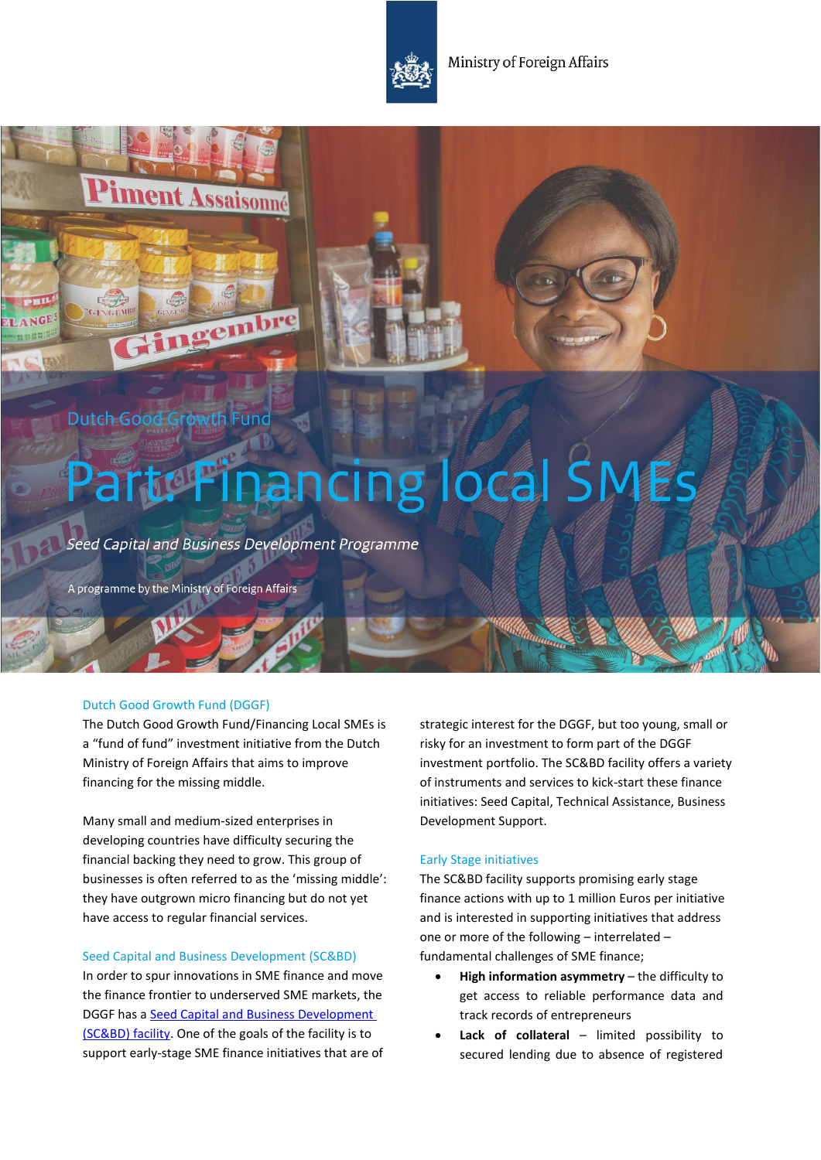Ministry of Foreign Affairs

# Dutch Good Growth Fund

**iment Assaisonné** 

Gingembre

# Part: Financing local SMEs

Seed Capital and Business Development Programme

A programme by the Ministry of Foreign Affairs

# Dutch Good Growth Fund (DGGF)

The Dutch Good Growth Fund/Financing Loca[l SMEs](http://english.dggf.nl/investment-funds-local-smes) is a "fund of fund" investment initiative from the Dutch Ministry of Foreign Affairs that aims to improve financing for the missing middle.

Many small and medium-sized enterprises in developing countries have difficulty securing the financial backing they need to grow. This group of businesses is often referred to as the 'missing middle': they have outgrown micro financing but do not yet have access to regular financial services.

# Seed Capital and Business Development (SC&BD)

In order to spur innovations in SME finance and move the finance frontier to underserved SME markets, the DGGF has a [Seed Capital and Business Development](https://english.dggf.nl/who-can-apply/investment-fund/seed-capital--business-development)  [\(SC&BD\) facility.](https://english.dggf.nl/who-can-apply/investment-fund/seed-capital--business-development) One of the goals of the facility is to support early-stage SME finance initiatives that are of strategic interest for the DGGF, but too young, small or risky for an investment to form part of the DGGF investment portfolio. The SC&BD facility offers a variety of instruments and services to kick-start these finance initiatives: Seed Capital, Technical Assistance, Business Development Support.

# Early Stage initiatives

The SC&BD facility supports promising early stage finance actions with up to 1 million Euros per initiative and is interested in supporting initiatives that address one or more of the following – interrelated – fundamental challenges of SME finance;

- **High information asymmetry** the difficulty to get access to reliable performance data and track records of entrepreneurs
- **Lack of collateral**  limited possibility to secured lending due to absence of registered